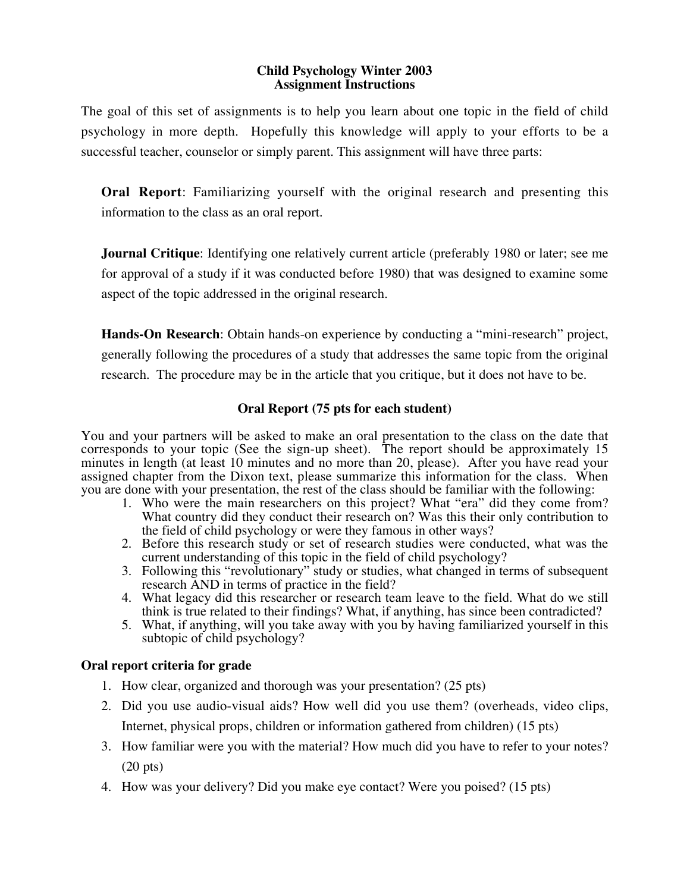#### **Child Psychology Winter 2003 Assignment Instructions**

The goal of this set of assignments is to help you learn about one topic in the field of child psychology in more depth. Hopefully this knowledge will apply to your efforts to be a successful teacher, counselor or simply parent. This assignment will have three parts:

**Oral Report**: Familiarizing yourself with the original research and presenting this information to the class as an oral report.

**Journal Critique**: Identifying one relatively current article (preferably 1980 or later; see me for approval of a study if it was conducted before 1980) that was designed to examine some aspect of the topic addressed in the original research.

**Hands-On Research**: Obtain hands-on experience by conducting a "mini-research" project, generally following the procedures of a study that addresses the same topic from the original research. The procedure may be in the article that you critique, but it does not have to be.

# **Oral Report (75 pts for each student)**

You and your partners will be asked to make an oral presentation to the class on the date that corresponds to your topic (See the sign-up sheet). The report should be approximately 15 minutes in length (at least 10 minutes and no more than 20, please). After you have read your assigned chapter from the Dixon text, please summarize this information for the class. When you are done with your presentation, the rest of the class should be familiar with the following:

- 1. Who were the main researchers on this project? What "era" did they come from? What country did they conduct their research on? Was this their only contribution to the field of child psychology or were they famous in other ways?
- 2. Before this research study or set of research studies were conducted, what was the current understanding of this topic in the field of child psychology?
- 3. Following this "revolutionary" study or studies, what changed in terms of subsequent research AND in terms of practice in the field?
- 4. What legacy did this researcher or research team leave to the field. What do we still think is true related to their findings? What, if anything, has since been contradicted?
- 5. What, if anything, will you take away with you by having familiarized yourself in this subtopic of child psychology?

## **Oral report criteria for grade**

- 1. How clear, organized and thorough was your presentation? (25 pts)
- 2. Did you use audio-visual aids? How well did you use them? (overheads, video clips, Internet, physical props, children or information gathered from children) (15 pts)
- 3. How familiar were you with the material? How much did you have to refer to your notes? (20 pts)
- 4. How was your delivery? Did you make eye contact? Were you poised? (15 pts)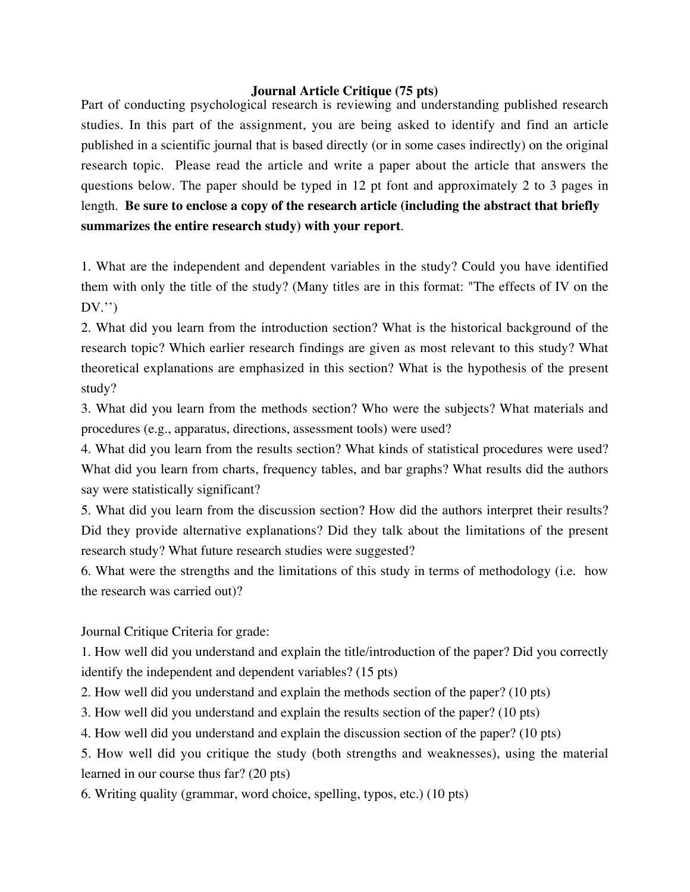#### **Journal Article Critique (75 pts)**

Part of conducting psychological research is reviewing and understanding published research studies. In this part of the assignment, you are being asked to identify and find an article published in a scientific journal that is based directly (or in some cases indirectly) on the original research topic. Please read the article and write a paper about the article that answers the questions below. The paper should be typed in 12 pt font and approximately 2 to 3 pages in length. **Be sure to enclose a copy of the research article (including the abstract that briefly summarizes the entire research study) with your report**.

1. What are the independent and dependent variables in the study? Could you have identified them with only the title of the study? (Many titles are in this format: "The effects of IV on the  $DV.'$ 

2. What did you learn from the introduction section? What is the historical background of the research topic? Which earlier research findings are given as most relevant to this study? What theoretical explanations are emphasized in this section? What is the hypothesis of the present study?

3. What did you learn from the methods section? Who were the subjects? What materials and procedures (e.g., apparatus, directions, assessment tools) were used?

4. What did you learn from the results section? What kinds of statistical procedures were used? What did you learn from charts, frequency tables, and bar graphs? What results did the authors say were statistically significant?

5. What did you learn from the discussion section? How did the authors interpret their results? Did they provide alternative explanations? Did they talk about the limitations of the present research study? What future research studies were suggested?

6. What were the strengths and the limitations of this study in terms of methodology (i.e. how the research was carried out)?

Journal Critique Criteria for grade:

1. How well did you understand and explain the title/introduction of the paper? Did you correctly identify the independent and dependent variables? (15 pts)

2. How well did you understand and explain the methods section of the paper? (10 pts)

3. How well did you understand and explain the results section of the paper? (10 pts)

4. How well did you understand and explain the discussion section of the paper? (10 pts)

5. How well did you critique the study (both strengths and weaknesses), using the material learned in our course thus far? (20 pts)

6. Writing quality (grammar, word choice, spelling, typos, etc.) (10 pts)